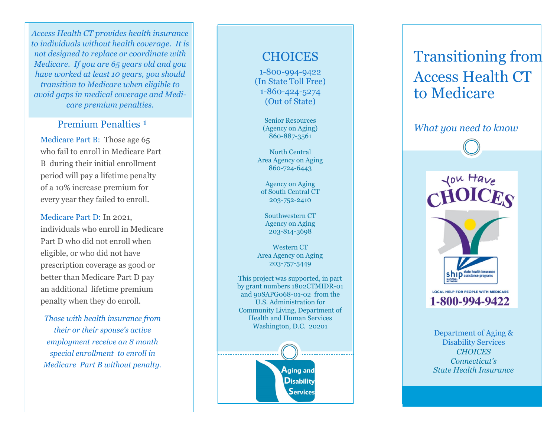*Access Health CT provides health insurance to individuals without health coverage. It is not designed to replace or coordinate with Medicare. If you are 65 years old and you have worked at least 10 years, you should transition to Medicare when eligible to avoid gaps in medical coverage and Medicare premium penalties.*

#### Premium Penalties<sup>1</sup>

Medicare Part B: Those age 65 who fail to enroll in Medicare Part B during their initial enrollment period will pay a lifetime penalty of a 10% increase premium for every year they failed to enroll.

Medicare Part D: In 2021, individuals who enroll in Medicare Part D who did not enroll when eligible, or who did not have prescription coverage as good or better than Medicare Part D pay an additional lifetime premium penalty when they do enroll.

*Those with health insurance from their or their spouse 's active employment receive an 8 month special enrollment to enroll in Medicare Part B without penalty.*

### **CHOICES**

1-800-994-9422 (In State Toll Free) 1-860-424-5274 (Out of State)

> Senior Resources (Agency on Aging) 860 -887 -3561

North Central Area Agency on Aging 860 -724 -6443

Agency on Aging of South Central CT 203 -752 -2410

Southwestern CT Agency on Aging 203 -814 -3698

Western CT Area Agency on Aging 203 -757 -5449

This project was supported, in part by grant numbers 1802CTMIDR -01 and 90SAPG068 -01 -02 from the U.S. Administration for Community Living, Department of Health and Human Services Washington, D.C. 20201

> ${\mathsf A}$ ging and **Disability** Services

# Transitioning from Access Health CT to Medicare

*What you need to know*



Department of Aging & Disability Services *CHOICES Connecticut 's State Health Insurance*